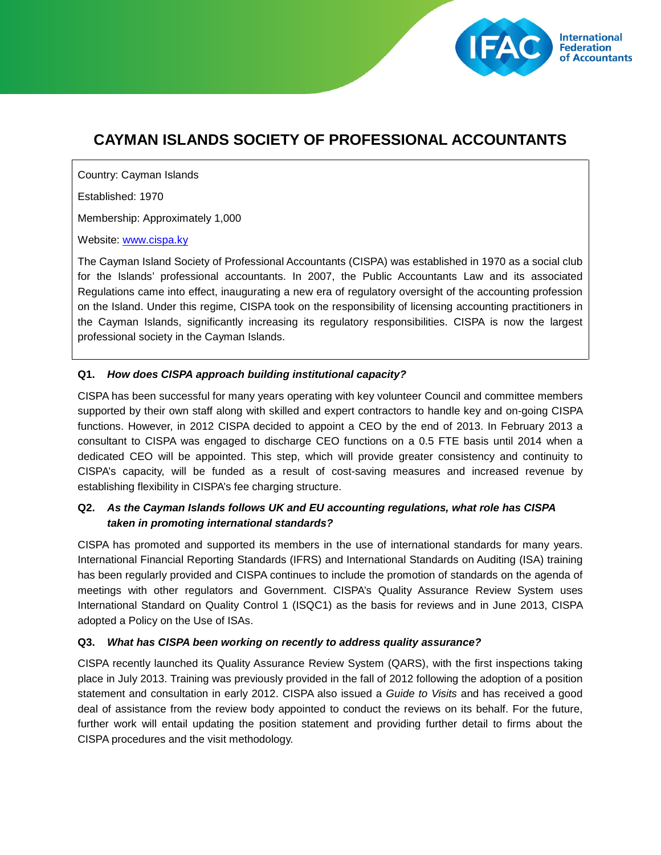# **CAYMAN ISLANDS SOCIETY OF PROFESSIONAL ACCOUNTANTS**

**International Federation** of Accountants

Country: Cayman Islands

Established: 1970

Membership: Approximately 1,000

Website: [www.cispa.ky](http://www.cispa.ky/)

The Cayman Island Society of Professional Accountants (CISPA) was established in 1970 as a social club for the Islands' professional accountants. In 2007, the Public Accountants Law and its associated Regulations came into effect, inaugurating a new era of regulatory oversight of the accounting profession on the Island. Under this regime, CISPA took on the responsibility of licensing accounting practitioners in the Cayman Islands, significantly increasing its regulatory responsibilities. CISPA is now the largest professional society in the Cayman Islands.

#### **Q1.** *How does CISPA approach building institutional capacity?*

CISPA has been successful for many years operating with key volunteer Council and committee members supported by their own staff along with skilled and expert contractors to handle key and on-going CISPA functions. However, in 2012 CISPA decided to appoint a CEO by the end of 2013. In February 2013 a consultant to CISPA was engaged to discharge CEO functions on a 0.5 FTE basis until 2014 when a dedicated CEO will be appointed. This step, which will provide greater consistency and continuity to CISPA's capacity, will be funded as a result of cost-saving measures and increased revenue by establishing flexibility in CISPA's fee charging structure.

## **Q2.** *As the Cayman Islands follows UK and EU accounting regulations, what role has CISPA taken in promoting international standards?*

CISPA has promoted and supported its members in the use of international standards for many years. International Financial Reporting Standards (IFRS) and International Standards on Auditing (ISA) training has been regularly provided and CISPA continues to include the promotion of standards on the agenda of meetings with other regulators and Government. CISPA's Quality Assurance Review System uses International Standard on Quality Control 1 (ISQC1) as the basis for reviews and in June 2013, CISPA adopted a Policy on the Use of ISAs.

#### **Q3.** *What has CISPA been working on recently to address quality assurance?*

CISPA recently launched its Quality Assurance Review System (QARS), with the first inspections taking place in July 2013. Training was previously provided in the fall of 2012 following the adoption of a position statement and consultation in early 2012. CISPA also issued a *Guide to Visits* and has received a good deal of assistance from the review body appointed to conduct the reviews on its behalf. For the future, further work will entail updating the position statement and providing further detail to firms about the CISPA procedures and the visit methodology.